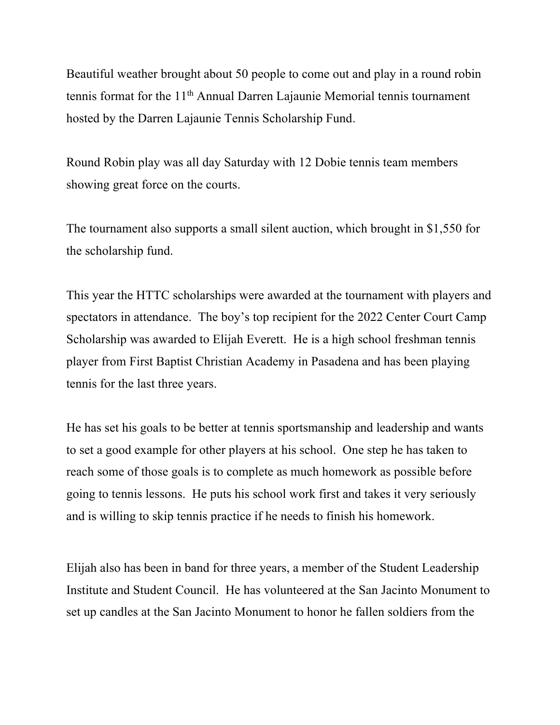Beautiful weather brought about 50 people to come out and play in a round robin tennis format for the 11<sup>th</sup> Annual Darren Lajaunie Memorial tennis tournament hosted by the Darren Lajaunie Tennis Scholarship Fund.

Round Robin play was all day Saturday with 12 Dobie tennis team members showing great force on the courts.

The tournament also supports a small silent auction, which brought in \$1,550 for the scholarship fund.

This year the HTTC scholarships were awarded at the tournament with players and spectators in attendance. The boy's top recipient for the 2022 Center Court Camp Scholarship was awarded to Elijah Everett. He is a high school freshman tennis player from First Baptist Christian Academy in Pasadena and has been playing tennis for the last three years.

He has set his goals to be better at tennis sportsmanship and leadership and wants to set a good example for other players at his school. One step he has taken to reach some of those goals is to complete as much homework as possible before going to tennis lessons. He puts his school work first and takes it very seriously and is willing to skip tennis practice if he needs to finish his homework.

Elijah also has been in band for three years, a member of the Student Leadership Institute and Student Council. He has volunteered at the San Jacinto Monument to set up candles at the San Jacinto Monument to honor he fallen soldiers from the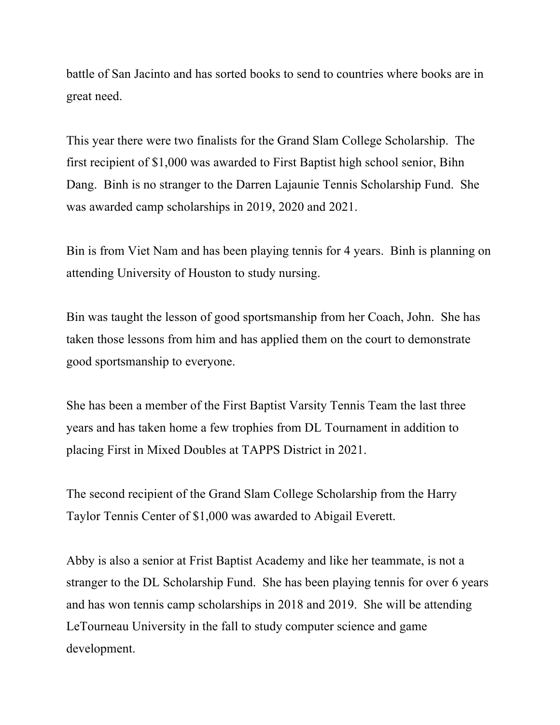battle of San Jacinto and has sorted books to send to countries where books are in great need.

This year there were two finalists for the Grand Slam College Scholarship. The first recipient of \$1,000 was awarded to First Baptist high school senior, Bihn Dang. Binh is no stranger to the Darren Lajaunie Tennis Scholarship Fund. She was awarded camp scholarships in 2019, 2020 and 2021.

Bin is from Viet Nam and has been playing tennis for 4 years. Binh is planning on attending University of Houston to study nursing.

Bin was taught the lesson of good sportsmanship from her Coach, John. She has taken those lessons from him and has applied them on the court to demonstrate good sportsmanship to everyone.

She has been a member of the First Baptist Varsity Tennis Team the last three years and has taken home a few trophies from DL Tournament in addition to placing First in Mixed Doubles at TAPPS District in 2021.

The second recipient of the Grand Slam College Scholarship from the Harry Taylor Tennis Center of \$1,000 was awarded to Abigail Everett.

Abby is also a senior at Frist Baptist Academy and like her teammate, is not a stranger to the DL Scholarship Fund. She has been playing tennis for over 6 years and has won tennis camp scholarships in 2018 and 2019. She will be attending LeTourneau University in the fall to study computer science and game development.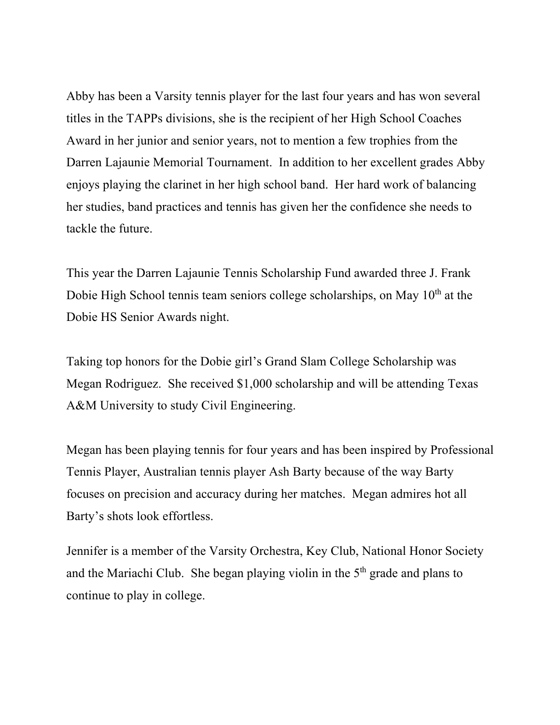Abby has been a Varsity tennis player for the last four years and has won several titles in the TAPPs divisions, she is the recipient of her High School Coaches Award in her junior and senior years, not to mention a few trophies from the Darren Lajaunie Memorial Tournament. In addition to her excellent grades Abby enjoys playing the clarinet in her high school band. Her hard work of balancing her studies, band practices and tennis has given her the confidence she needs to tackle the future.

This year the Darren Lajaunie Tennis Scholarship Fund awarded three J. Frank Dobie High School tennis team seniors college scholarships, on May 10<sup>th</sup> at the Dobie HS Senior Awards night.

Taking top honors for the Dobie girl's Grand Slam College Scholarship was Megan Rodriguez. She received \$1,000 scholarship and will be attending Texas A&M University to study Civil Engineering.

Megan has been playing tennis for four years and has been inspired by Professional Tennis Player, Australian tennis player Ash Barty because of the way Barty focuses on precision and accuracy during her matches. Megan admires hot all Barty's shots look effortless.

Jennifer is a member of the Varsity Orchestra, Key Club, National Honor Society and the Mariachi Club. She began playing violin in the  $5<sup>th</sup>$  grade and plans to continue to play in college.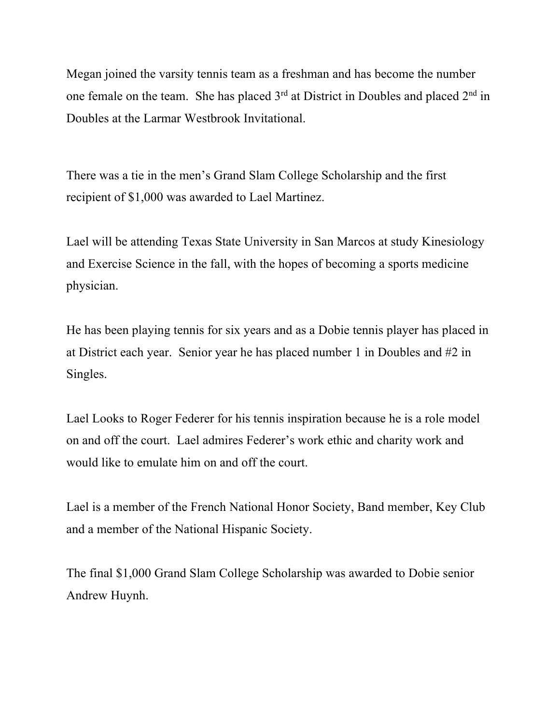Megan joined the varsity tennis team as a freshman and has become the number one female on the team. She has placed  $3<sup>rd</sup>$  at District in Doubles and placed  $2<sup>nd</sup>$  in Doubles at the Larmar Westbrook Invitational.

There was a tie in the men's Grand Slam College Scholarship and the first recipient of \$1,000 was awarded to Lael Martinez.

Lael will be attending Texas State University in San Marcos at study Kinesiology and Exercise Science in the fall, with the hopes of becoming a sports medicine physician.

He has been playing tennis for six years and as a Dobie tennis player has placed in at District each year. Senior year he has placed number 1 in Doubles and #2 in Singles.

Lael Looks to Roger Federer for his tennis inspiration because he is a role model on and off the court. Lael admires Federer's work ethic and charity work and would like to emulate him on and off the court.

Lael is a member of the French National Honor Society, Band member, Key Club and a member of the National Hispanic Society.

The final \$1,000 Grand Slam College Scholarship was awarded to Dobie senior Andrew Huynh.